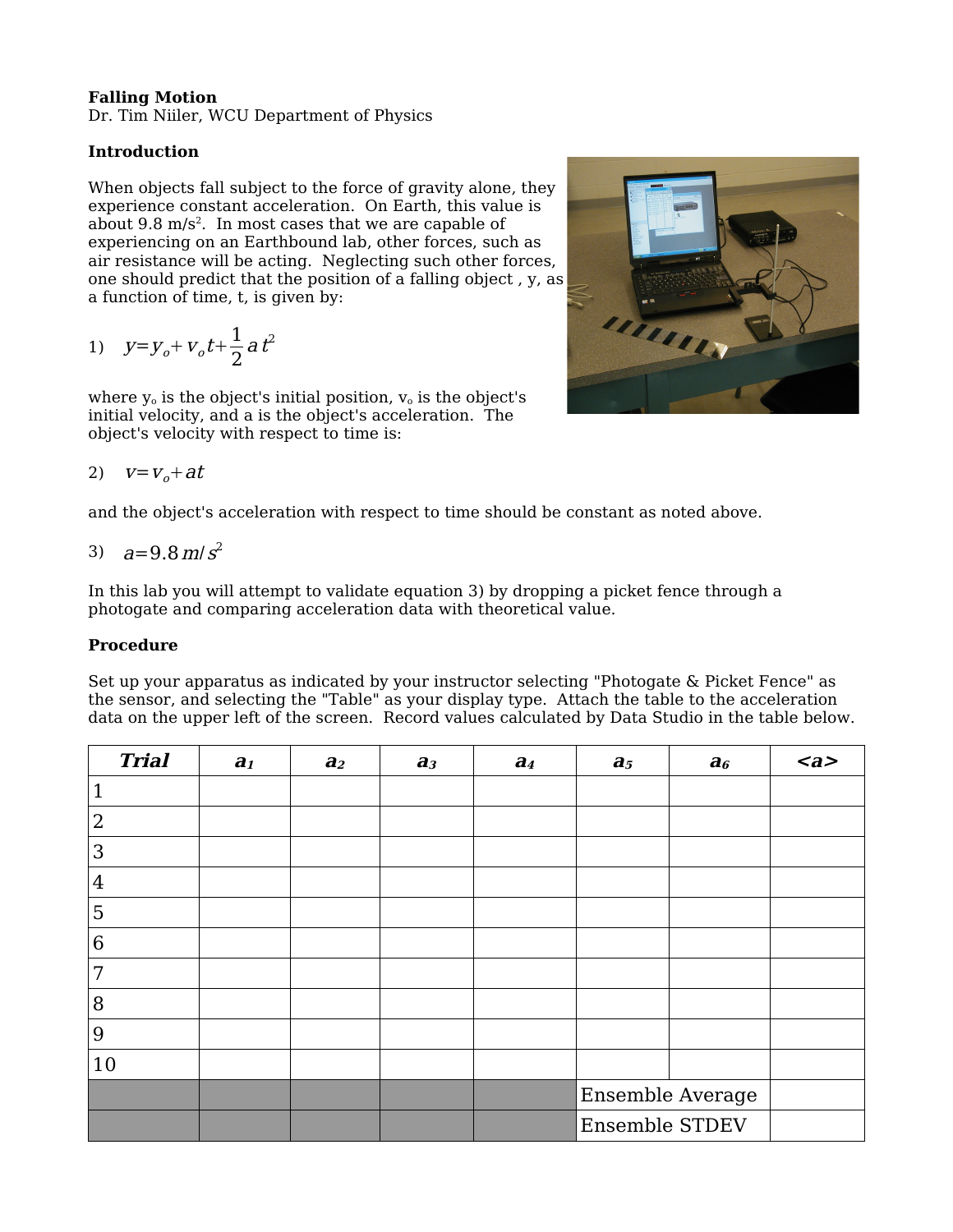## **Falling Motion**

Dr. Tim Niiler, WCU Department of Physics

## **Introduction**

When objects fall subject to the force of gravity alone, they experience constant acceleration. On Earth, this value is about 9.8 m/s 2 . In most cases that we are capable of experiencing on an Earthbound lab, other forces, such as air resistance will be acting. Neglecting such other forces, one should predict that the position of a falling object , y, as a function of time, t, is given by:

1) 
$$
y=y_o+v_o t+\frac{1}{2}at^2
$$

where  $y_0$  is the object's initial position,  $v_0$  is the object's initial velocity, and a is the object's acceleration. The object's velocity with respect to time is:

$$
2) \quad v = v_o + at
$$

and the object's acceleration with respect to time should be constant as noted above.

3) 
$$
a=9.8 \text{ m/s}^2
$$

In this lab you will attempt to validate equation 3) by dropping a picket fence through a photogate and comparing acceleration data with theoretical value.

## **Procedure**

Set up your apparatus as indicated by your instructor selecting "Photogate & Picket Fence" as the sensor, and selecting the "Table" as your display type. Attach the table to the acceleration data on the upper left of the screen. Record values calculated by Data Studio in the table below.

| <b>Trial</b>   | a <sub>1</sub> | a <sub>2</sub> | $a_3$ | $a_4$ | $a_5$            | a <sub>6</sub> | <a></a> |
|----------------|----------------|----------------|-------|-------|------------------|----------------|---------|
| 1              |                |                |       |       |                  |                |         |
| $\overline{2}$ |                |                |       |       |                  |                |         |
| 3              |                |                |       |       |                  |                |         |
| $\sqrt{4}$     |                |                |       |       |                  |                |         |
| 5              |                |                |       |       |                  |                |         |
| 6              |                |                |       |       |                  |                |         |
| 7              |                |                |       |       |                  |                |         |
| 8              |                |                |       |       |                  |                |         |
| 9              |                |                |       |       |                  |                |         |
| 10             |                |                |       |       |                  |                |         |
|                |                |                |       |       | Ensemble Average |                |         |
|                |                |                |       |       | Ensemble STDEV   |                |         |